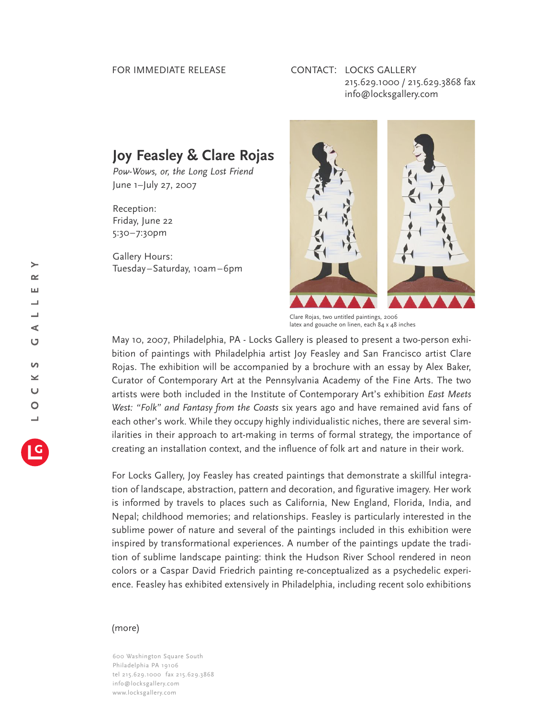## FOR IMMEDIATE RELEASE

## CONTACT: LOCKS GALLERY 215.629.1000 / 215.629.3868 fax info@locksgallery.com

## **Joy Feasley & Clare Rojas**

*Pow-Wows, or, the Long Lost Friend* June 1–July 27, 2007

Reception: Friday, June 22 5:30–7:30pm

Gallery Hours: Tuesday–Saturday, 10am–6pm



Clare Rojas, two untitled paintings*,* 2006 latex and gouache on linen, each 84 x 48 inches

May 10, 2007, Philadelphia, PA - Locks Gallery is pleased to present a two-person exhibition of paintings with Philadelphia artist Joy Feasley and San Francisco artist Clare Rojas. The exhibition will be accompanied by a brochure with an essay by Alex Baker, Curator of Contemporary Art at the Pennsylvania Academy of the Fine Arts. The two artists were both included in the Institute of Contemporary Art's exhibition *East Meets West: "Folk" and Fantasy from the Coasts* six years ago and have remained avid fans of each other's work. While they occupy highly individualistic niches, there are several similarities in their approach to art-making in terms of formal strategy, the importance of creating an installation context, and the influence of folk art and nature in their work.

For Locks Gallery, Joy Feasley has created paintings that demonstrate a skillful integration of landscape, abstraction, pattern and decoration, and figurative imagery. Her work is informed by travels to places such as California, New England, Florida, India, and Nepal; childhood memories; and relationships. Feasley is particularly interested in the sublime power of nature and several of the paintings included in this exhibition were inspired by transformational experiences. A number of the paintings update the tradition of sublime landscape painting: think the Hudson River School rendered in neon colors or a Caspar David Friedrich painting re-conceptualized as a psychedelic experience. Feasley has exhibited extensively in Philadelphia, including recent solo exhibitions

## (more)

600 Washington Square South Philadelphia PA 19106 tel 215.629.1000 fax 215.629.3868 info@locksgallery.com www.locksgallery.com